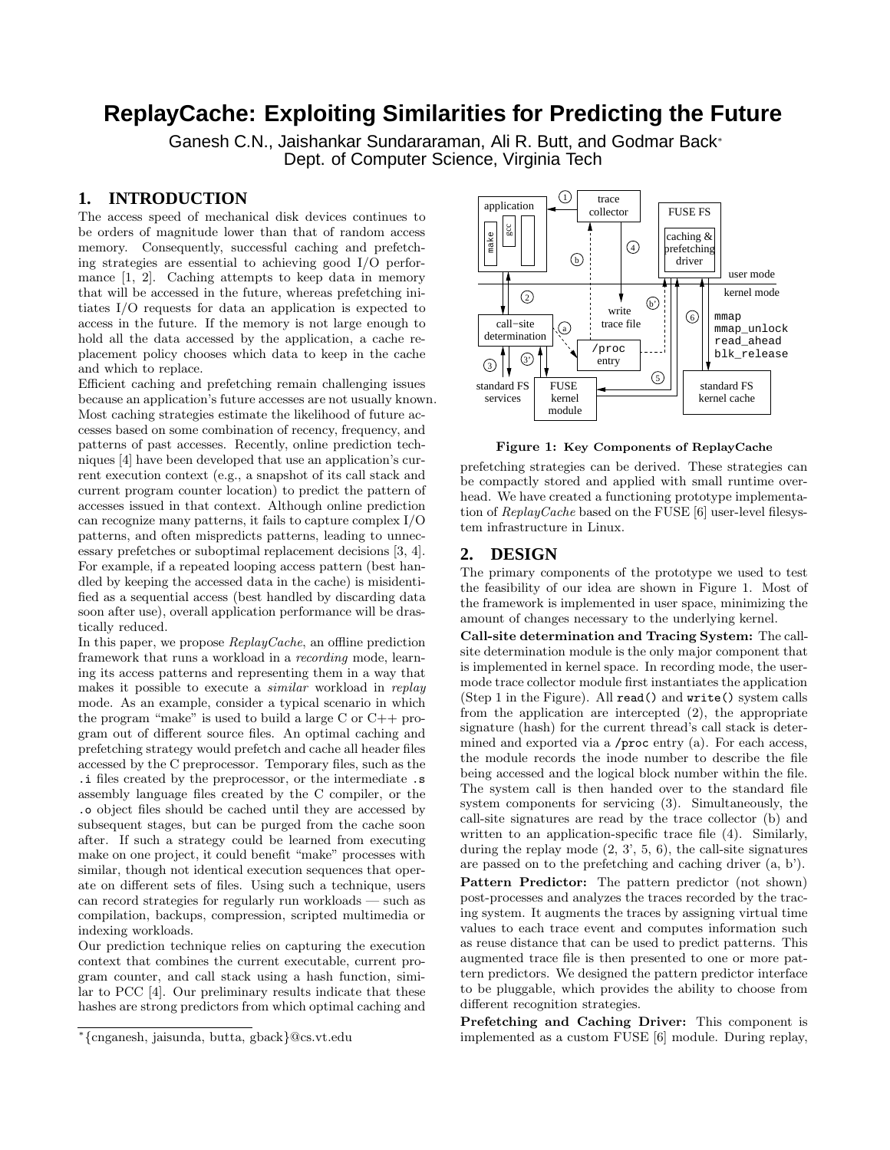# **ReplayCache: Exploiting Similarities for Predicting the Future**

Ganesh C.N., Jaishankar Sundararaman, Ali R. Butt, and Godmar Back<sup>∗</sup> Dept. of Computer Science, Virginia Tech

# **1. INTRODUCTION**

The access speed of mechanical disk devices continues to be orders of magnitude lower than that of random access memory. Consequently, successful caching and prefetching strategies are essential to achieving good I/O performance [1, 2]. Caching attempts to keep data in memory that will be accessed in the future, whereas prefetching initiates I/O requests for data an application is expected to access in the future. If the memory is not large enough to hold all the data accessed by the application, a cache replacement policy chooses which data to keep in the cache and which to replace.

Efficient caching and prefetching remain challenging issues because an application's future accesses are not usually known. Most caching strategies estimate the likelihood of future accesses based on some combination of recency, frequency, and patterns of past accesses. Recently, online prediction techniques [4] have been developed that use an application's current execution context (e.g., a snapshot of its call stack and current program counter location) to predict the pattern of accesses issued in that context. Although online prediction can recognize many patterns, it fails to capture complex I/O patterns, and often mispredicts patterns, leading to unnecessary prefetches or suboptimal replacement decisions [3, 4]. For example, if a repeated looping access pattern (best handled by keeping the accessed data in the cache) is misidentified as a sequential access (best handled by discarding data soon after use), overall application performance will be drastically reduced.

In this paper, we propose  $\text{Replace}$ , an offline prediction framework that runs a workload in a recording mode, learning its access patterns and representing them in a way that makes it possible to execute a similar workload in replay mode. As an example, consider a typical scenario in which the program "make" is used to build a large C or C++ program out of different source files. An optimal caching and prefetching strategy would prefetch and cache all header files accessed by the C preprocessor. Temporary files, such as the .i files created by the preprocessor, or the intermediate .s assembly language files created by the C compiler, or the .o object files should be cached until they are accessed by subsequent stages, but can be purged from the cache soon after. If such a strategy could be learned from executing make on one project, it could benefit "make" processes with similar, though not identical execution sequences that operate on different sets of files. Using such a technique, users can record strategies for regularly run workloads — such as compilation, backups, compression, scripted multimedia or indexing workloads.

Our prediction technique relies on capturing the execution context that combines the current executable, current program counter, and call stack using a hash function, similar to PCC [4]. Our preliminary results indicate that these hashes are strong predictors from which optimal caching and



Figure 1: Key Components of ReplayCache

prefetching strategies can be derived. These strategies can be compactly stored and applied with small runtime overhead. We have created a functioning prototype implementation of ReplayCache based on the FUSE [6] user-level filesystem infrastructure in Linux.

# **2. DESIGN**

The primary components of the prototype we used to test the feasibility of our idea are shown in Figure 1. Most of the framework is implemented in user space, minimizing the amount of changes necessary to the underlying kernel.

Call-site determination and Tracing System: The callsite determination module is the only major component that is implemented in kernel space. In recording mode, the usermode trace collector module first instantiates the application (Step 1 in the Figure). All read() and write() system calls from the application are intercepted (2), the appropriate signature (hash) for the current thread's call stack is determined and exported via a /proc entry (a). For each access, the module records the inode number to describe the file being accessed and the logical block number within the file. The system call is then handed over to the standard file system components for servicing (3). Simultaneously, the call-site signatures are read by the trace collector (b) and written to an application-specific trace file  $(4)$ . Similarly, during the replay mode  $(2, 3', 5, 6)$ , the call-site signatures are passed on to the prefetching and caching driver (a, b').

Pattern Predictor: The pattern predictor (not shown) post-processes and analyzes the traces recorded by the tracing system. It augments the traces by assigning virtual time values to each trace event and computes information such as reuse distance that can be used to predict patterns. This augmented trace file is then presented to one or more pattern predictors. We designed the pattern predictor interface to be pluggable, which provides the ability to choose from different recognition strategies.

Prefetching and Caching Driver: This component is implemented as a custom FUSE [6] module. During replay,

<sup>∗</sup> {cnganesh, jaisunda, butta, gback}@cs.vt.edu